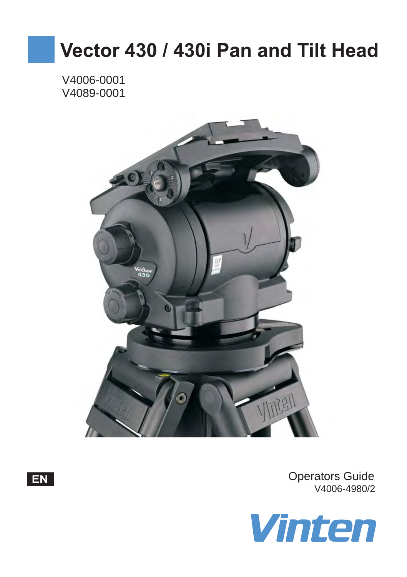# **Vector 430 / 430i Pan and Tilt Head**

V4006-0001 V4089-0001





Operators Guide V4006-4980/2

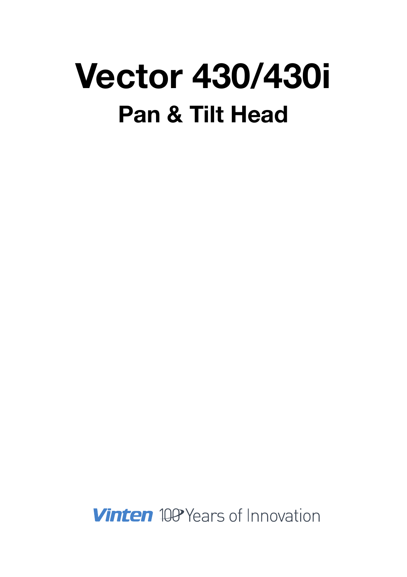# **Vector 430/430i Pan & Tilt Head**

**Vinten** 100 Years of Innovation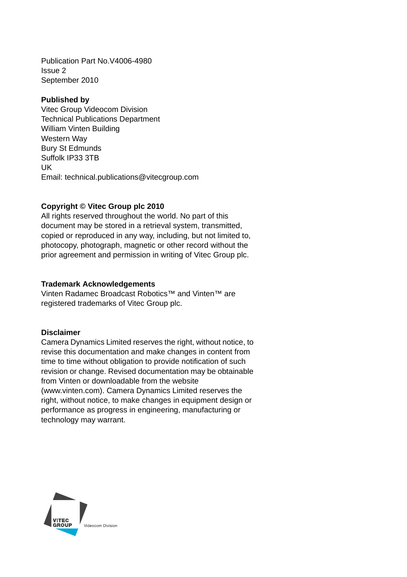Publication Part No.V4006-4980 Issue 2 September 2010

#### **Published by**

Vitec Group Videocom Division Technical Publications Department William Vinten Building Western Way Bury St Edmunds Suffolk IP33 3TB UK Email: technical.publications@vitecgroup.com

#### **Copyright © Vitec Group plc 2010**

All rights reserved throughout the world. No part of this document may be stored in a retrieval system, transmitted, copied or reproduced in any way, including, but not limited to, photocopy, photograph, magnetic or other record without the prior agreement and permission in writing of Vitec Group plc.

#### **Trademark Acknowledgements**

Vinten Radamec Broadcast Robotics<sup>™</sup> and Vinten™ are registered trademarks of Vitec Group plc.

#### **Disclaimer**

Camera Dynamics Limited reserves the right, without notice, to revise this documentation and make changes in content from time to time without obligation to provide notification of such revision or change. Revised documentation may be obtainable from Vinten or downloadable from the website (www.vinten.com). Camera Dynamics Limited reserves the right, without notice, to make changes in equipment design or performance as progress in engineering, manufacturing or technology may warrant.

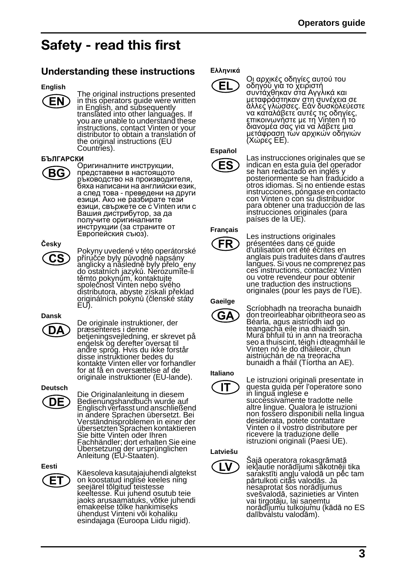# <span id="page-3-0"></span>**Safety - read this first**

# <span id="page-3-1"></span>**Understanding these instructions**

#### **English**



The original instructions presented in this operators guide were written in English, and sŭbsequently<br>translated into other languages. If<br>you are unable to understand these instructions, contact Vinten or your distributor to obtain a translation of the original instructions (EU Countries).

#### **БЪЛГАРСКИ**



Оригиналните инструкции, представени <sup>в</sup> настоящото ръководство на производителя,<br>бяха написани на английски език,<br>а след това - преведени на други<br>езици. Ако не разбирате тези езици, свържете се с Vinten или с<br>Вашия дистрибутор, за да получите оригиналните инструкции (за страните от<br>Европейския съюз).

### **Česky** CS

Pokyny uvedené v této operátorské<br>příručce byly původně napsány <sup>p</sup>říručce byly původně napsány anglicky a následně byly přelo\_eny do ostatních jazyků. Nerozumíte-li společnost Vinten nebo svého distributora, abyste získali překlad originálních pokynů (členské státy EU).

# **Dansk** DΑ

De originale instruktioner, der præsenteres i denne betjeningsvejledning, er skrevet på engelsk og derefter oversat til andre sprog. Hvis du ikke forstår disse instruktioner bedes du kontakte Vinten eller vor forhandler for at få en oversættelse af de originale instruktioner (EU-lande).

**Deutsch** DE

Die Originalanleitung in diesem Bedienungshandbuch wurde auf Englisch verfasst und anschließend in andere Sprachen übersetzt. Bei Verständnisproblemen in einer der übersetzten Sprachen kontaktieren Sie bitte Vinten oder Ihren Fachhändler; dort erhalten Sie eine<br>Übersetzung der ursprünglichen<br>Anleitung (EU-Staaten).

**Eesti**

Käesoleva kasutajajuhendi algtekst on koostatud inglise keeles ning seejärel tõlgitud teistesse keeltesse. Kui juhend osutub teie jaoks arusaamatuks, võtke juhendi<br>emakeelse tõlke hankimiseks ühendust Vinteni või kohaliku esindajaga (Euroopa Liidu riigid).

#### **Ελληνικά**



Οι αρχικές οδηγίες αυτού του<br>οδηγού για το χειριστή<br>συντάχθηκαν στα Αγγλικά και<br>μεταφράστηκαν στη συνέχεια σε<br>άλλες γλώσσες. Εάν δυσκολεύεστε<br>να καταλάβετε αυτές τις οδηγίες,<br>επικοινωνήστε με τη Vinten ή το<br>διανομέα σας γ

# **Español**

ES

Las instrucciones originales que se indican en esta guía del operador se han redactado en inglés y posteriormente se han traducido a otros idiomas. Si no entiende estas instrucciones, póngase en contacto con Vinten o con su distribuidor para obtener una traducción de las instrucciones originales (para países de la UE).

#### **Français**

FR

Les instructions originales présentées dans ce guide d'utilisation ont été écrites en anglais puis traduites dans d'autres langues. Si vous ne comprenez pas ces instructions, contactez Vinten ou votre revendeur pour obtenir une traduction des instructions originales (pour les pays de l'UE).

#### **Gaeilge**



Scríobhadh na treoracha bunaidh don treoirleabhar oibritheora seo as Béarla, agus aistríodh iad go teangacha eile ina dhiaidh sin. Mura bhfuil tú in ann na treoracha seo a thuiscint, téigh i dteagmháil le Vinten nó le do dháileoir, chun aistriúchán de na treoracha bunaidh a fháil (Tíortha an AE).

#### **Italiano**

IT

Le istruzioni originali presentate in questa guida per l'operatore sono in lingua inglese e succĕssivam̃ente tradotte nelle<br>altre lingue. Qualora le istruzioni<br>non fossero disponibili nella lingua desiderata, potete contattare Vinten o il vostro distributore per ricevere la traduzione delle istruzioni originali (Paesi UE).

#### **Latviešu**



Šajā operatora rokasgrāmatā<br>iekļautie norādījumi sākotnēji tika iekļautie norādījumi sākotnēji tika<br>sarakstīti angļu valodā un pēc tam<br>pārtulkoti citās valodās. Ja<br>nesaprotat šos norādījumus<br>svešvalodā, sazinieties ar Vinten svešvalodā, sazinieties ar Vinten<br>vai tirgotāju, lai saņemtu<br>norādījumu tulkojumu (kādā no ES dalībvalstu valodām).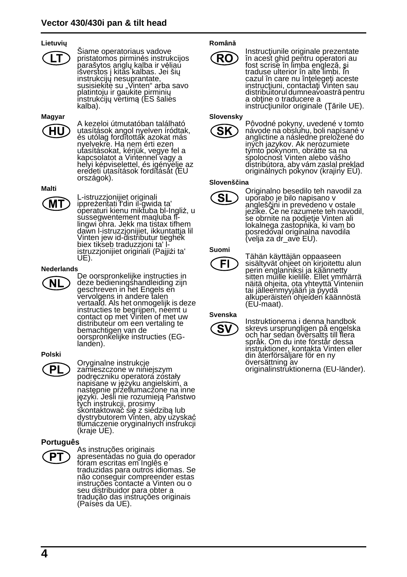#### **Lietuvių**



Siame operatoriaus vadove pristatomos pirminės instrukcijos<br>parašytos anglų kalba ir vėliau<br>išverstos į kitas kalbas. Jei šių instrukcijų nesuprantate,<br>susisiekite su "Vinten" arba savo platintoju ir gaukite pirminių<br>instrukcijų vertimą (ES šalies<br>kalba).

**Magyar**



A kezeloi útmutatóban található utasítások angol nyelven íródtak, és utólag fordították azokat más nyelvekre. Ha nem érti ezen utasításokat, kérjük, vegye fel a kapcsolatot a Vintennel vagy a helyi képviselettel, és igényélje az<br>eredeti utasítások fordítását (EU országok).

#### **Malti**

MТ

L-istruzzjonijiet originali ippreżentati f'din il-gwida ta' operaturi kienu miktuba bl-Ingliż, u sussegwentement maqluba fllingwi ohra. Jekk ma tistax tifhem<br>dawn l-istruzzjonijiet, ikkuntattja lil Vinten jew id-distributur tieghek biex tikseb traduzzjoni ta' listruzzjonijiet originali (Pajjiżi ta' UE).

#### **Nederlands**



De oorspronkelijke instructies in deze bedieningshandleiding zijn geschreven in het Engels en vervolgens in andere talen vertaald. Als het onmogelijk is deze instructies te begrijpen, néemt u<br>contact op met Vinten of met uw distributeur om een vertaling te bemachtigen van de oorspronkelijke instructies (EGlanden).

#### **Polski**



Oryginalne instrukcje zamieszczone w niniejszym podręczniku operatora zostały napisane w języku angielskim, a następnie przetłumaczone na inne języki. Jeśli nie rozumieją Państwo tych instrukcji, prosimy skontaktować się z siedzibą lub dystrybutorem Vinten, aby uzyskać tłúmaczenie oryginalnych instrukcji<br>(kraje UE).

#### **Português**



As instruções originais apresentadas no guia do operador foram escritas em Inglês e traduzidas para outros idiomas. Se não conseguir compreender estas instruções contacte a Vinten ou o seu distribuidor para obter a tradução das instruções originais (Países da UE).

#### **Română**



Instrucţiunile originale prezentate în acest ghid pentru operatori au fost scrise în limba engleză, și<br>traduse ulterior în alte limbi. În cazul în care nu înţelegeţi aceste instrucţiuni, contactaţi Vinten sau distribuitorul dumneavoastră pentru<br>a obține o traducere a instructiunilor originale (Tările UE).

#### **Slovensky**



Pôvodné pokyny, uvedené v tomto návode na obsluhu, boli napísané v anglictine a následne preložené do iných jazykov. Ak nerozumiete týmto pokynom, obrátte sa na spolocnost Vinten alebo vášho distribútora, aby vám zaslal preklad originálnych pokynov (krajiny EÚ).

#### **Slovenščina**



Originalno besedilo teh navodil za uporabo je bilo napisano v jezike. Če ne razumete teh navodil, se obrnite na podjetje Vinten ali lokalnega zastopnika, ki vam bo posredoval originalna navodila (velja za dr\_ave EU).

#### **Suomi**



Tähän käyttäjän oppaaseen sisältyvät ohjeet on kirjoitettu alun perin englanniksi ja käännetty sitten mŭille kielillé. Ellet ymmärrä<br>näitä ohjeita, ota yhteyttä Vinteniin<br>tai jälleenmyyjään ja pyydä alkuperäisten ohjeiden käännöstä (EU-maat).

#### **Svenska**



Instruktionerna i denna handbok skrevs ursprungligen på engelska och har sedan översatts till flera språk. Om du inte förstår dessa instruktioner, kontakta Vinten eller din återförsäljare för en ny översättning av originalinstruktionerna (EU-länder).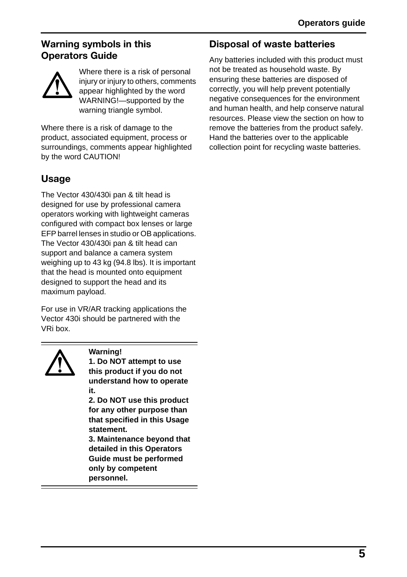# <span id="page-5-2"></span>**Warning symbols in this Operators Guide**



Where there is a risk of personal injury or injury to others, comments appear highlighted by the word WARNING!—supported by the warning triangle symbol.

Where there is a risk of damage to the product, associated equipment, process or surroundings, comments appear highlighted by the word CAUTION!

# <span id="page-5-0"></span>**Usage**

The Vector 430/430i pan & tilt head is designed for use by professional camera operators working with lightweight cameras configured with compact box lenses or large EFP barrel lenses in studio or OB applications. The Vector 430/430i pan & tilt head can support and balance a camera system weighing up to 43 kg (94.8 lbs). It is important that the head is mounted onto equipment designed to support the head and its maximum payload.

For use in VR/AR tracking applications the Vector 430i should be partnered with the VRi box.



**Warning! 1. Do NOT attempt to use this product if you do not understand how to operate it.**

**2. Do NOT use this product for any other purpose than that specified in this Usage statement.**

**3. Maintenance beyond that detailed in this Operators Guide must be performed only by competent personnel.**

# <span id="page-5-1"></span>**Disposal of waste batteries**

Any batteries included with this product must not be treated as household waste. By ensuring these batteries are disposed of correctly, you will help prevent potentially negative consequences for the environment and human health, and help conserve natural resources. Please view the section on how to remove the batteries from the product safely. Hand the batteries over to the applicable collection point for recycling waste batteries.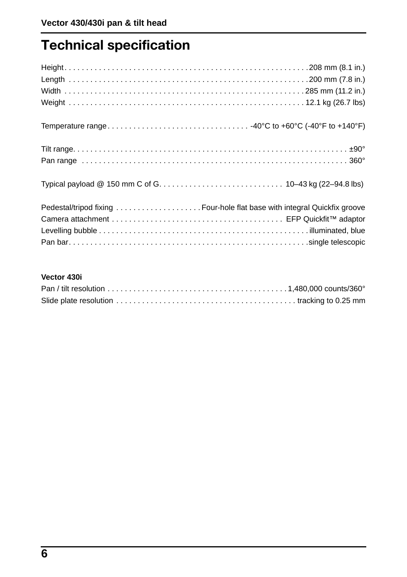# <span id="page-6-0"></span>**Technical specification**

# **Vector 430i**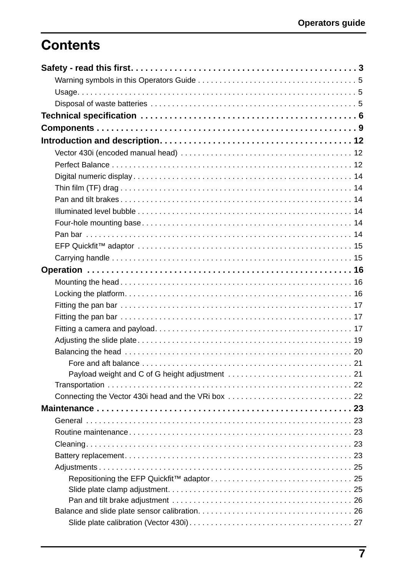# **Contents**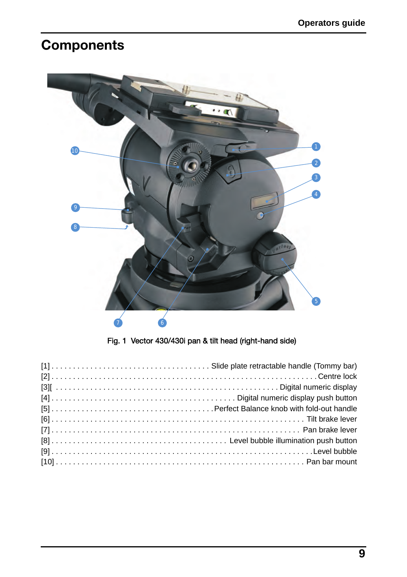# <span id="page-9-0"></span>**Components**



Fig. 1 Vector 430/430i pan & tilt head (right-hand side)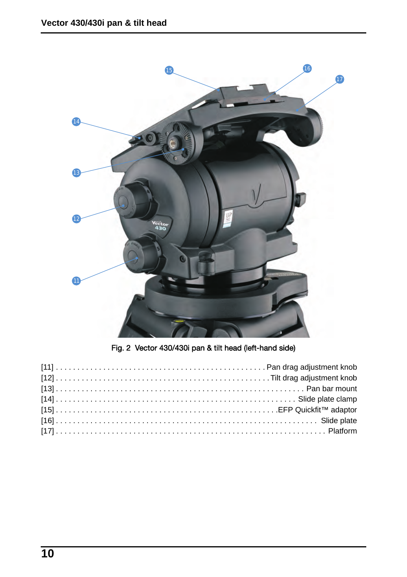

Fig. 2 Vector 430/430i pan & tilt head (left-hand side)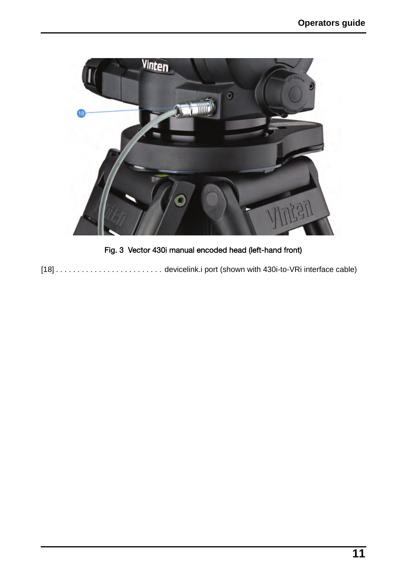

Fig. 3 Vector 430i manual encoded head (left-hand front)

[18] . . . . . . . . . . . . . . . . . . . . . . . . . devicelink.i port (shown with 430i-to-VRi interface cable)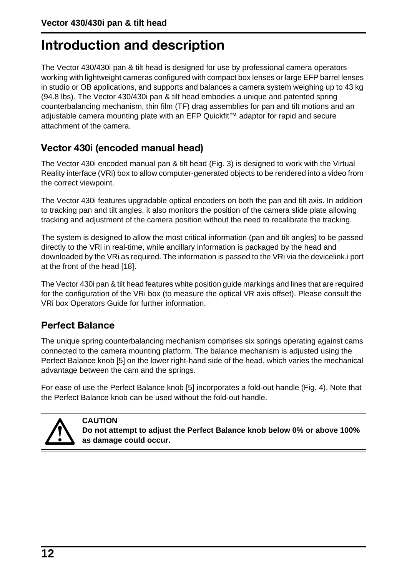# <span id="page-12-1"></span>**Introduction and description**

The Vector 430/430i pan & tilt head is designed for use by professional camera operators working with lightweight cameras configured with compact box lenses or large EFP barrel lenses in studio or OB applications, and supports and balances a camera system weighing up to 43 kg (94.8 lbs). The Vector 430/430i pan & tilt head embodies a unique and patented spring counterbalancing mechanism, thin film (TF) drag assemblies for pan and tilt motions and an adjustable camera mounting plate with an EFP Quickfit™ adaptor for rapid and secure attachment of the camera.

# <span id="page-12-2"></span>**Vector 430i (encoded manual head)**

The Vector 430i encoded manual pan & tilt head (Fig. 3) is designed to work with the Virtual Reality interface (VRi) box to allow computer-generated objects to be rendered into a video from the correct viewpoint.

The Vector 430i features upgradable optical encoders on both the pan and tilt axis. In addition to tracking pan and tilt angles, it also monitors the position of the camera slide plate allowing tracking and adjustment of the camera position without the need to recalibrate the tracking.

The system is designed to allow the most critical information (pan and tilt angles) to be passed directly to the VRi in real-time, while ancillary information is packaged by the head and downloaded by the VRi as required. The information is passed to the VRi via the devicelink.i port at the front of the head [18].

The Vector 430i pan & tilt head features white position guide markings and lines that are required for the configuration of the VRi box (to measure the optical VR axis offset). Please consult the VRi box Operators Guide for further information.

# <span id="page-12-0"></span>**Perfect Balance**

**CAUTION**

The unique spring counterbalancing mechanism comprises six springs operating against cams connected to the camera mounting platform. The balance mechanism is adjusted using the Perfect Balance knob [5] on the lower right-hand side of the head, which varies the mechanical advantage between the cam and the springs.

For ease of use the Perfect Balance knob [5] incorporates a fold-out handle (Fig. 4). Note that the Perfect Balance knob can be used without the fold-out handle.



**Do not attempt to adjust the Perfect Balance knob below 0% or above 100% as damage could occur.**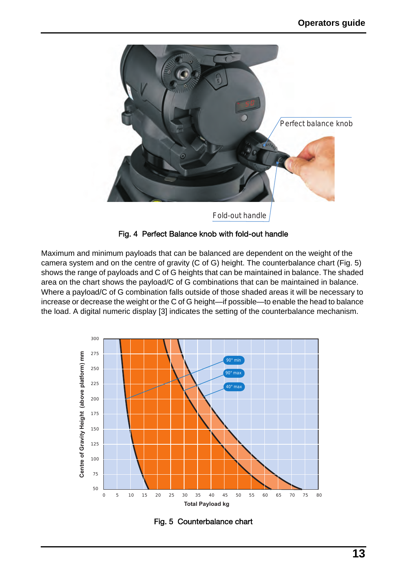

#### Fig. 4 Perfect Balance knob with fold-out handle

Maximum and minimum payloads that can be balanced are dependent on the weight of the camera system and on the centre of gravity (C of G) height. The counterbalance chart (Fig. 5) shows the range of payloads and C of G heights that can be maintained in balance. The shaded area on the chart shows the payload/C of G combinations that can be maintained in balance. Where a payload/C of G combination falls outside of those shaded areas it will be necessary to increase or decrease the weight or the C of G height—if possible—to enable the head to balance the load. A digital numeric display [3] indicates the setting of the counterbalance mechanism.



Fig. 5 Counterbalance chart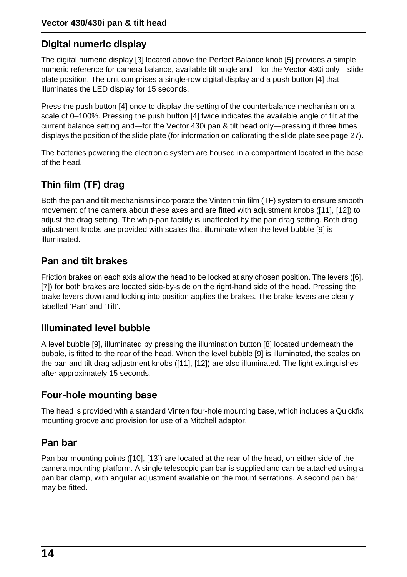# <span id="page-14-4"></span>**Digital numeric display**

The digital numeric display [3] located above the Perfect Balance knob [5] provides a simple numeric reference for camera balance, available tilt angle and—for the Vector 430i only—slide plate position. The unit comprises a single-row digital display and a push button [4] that illuminates the LED display for 15 seconds.

Press the push button [4] once to display the setting of the counterbalance mechanism on a scale of 0–100%. Pressing the push button [4] twice indicates the available angle of tilt at the current balance setting and—for the Vector 430i pan & tilt head only—pressing it three times displays the position of the slide plate (for information on calibrating the slide plate see [page 27](#page-27-0)).

The batteries powering the electronic system are housed in a compartment located in the base of the head.

# <span id="page-14-0"></span>**Thin film (TF) drag**

Both the pan and tilt mechanisms incorporate the Vinten thin film (TF) system to ensure smooth movement of the camera about these axes and are fitted with adjustment knobs ([11], [12]) to adjust the drag setting. The whip-pan facility is unaffected by the pan drag setting. Both drag adjustment knobs are provided with scales that illuminate when the level bubble [9] is illuminated.

# <span id="page-14-1"></span>**Pan and tilt brakes**

Friction brakes on each axis allow the head to be locked at any chosen position. The levers ([6], [7]) for both brakes are located side-by-side on the right-hand side of the head. Pressing the brake levers down and locking into position applies the brakes. The brake levers are clearly labelled 'Pan' and 'Tilt'.

# <span id="page-14-2"></span>**Illuminated level bubble**

A level bubble [9], illuminated by pressing the illumination button [8] located underneath the bubble, is fitted to the rear of the head. When the level bubble [9] is illuminated, the scales on the pan and tilt drag adjustment knobs ([11], [12]) are also illuminated. The light extinguishes after approximately 15 seconds.

# <span id="page-14-3"></span>**Four-hole mounting base**

The head is provided with a standard Vinten four-hole mounting base, which includes a Quickfix mounting groove and provision for use of a Mitchell adaptor.

# <span id="page-14-5"></span>**Pan bar**

Pan bar mounting points ([10], [13]) are located at the rear of the head, on either side of the camera mounting platform. A single telescopic pan bar is supplied and can be attached using a pan bar clamp, with angular adjustment available on the mount serrations. A second pan bar may be fitted.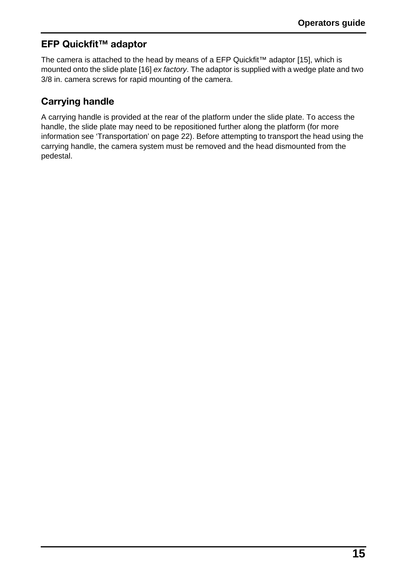# <span id="page-15-0"></span>**EFP Quickfit™ adaptor**

The camera is attached to the head by means of a EFP Quickfit™ adaptor [15], which is mounted onto the slide plate [16] *ex factory*. The adaptor is supplied with a wedge plate and two 3/8 in. camera screws for rapid mounting of the camera.

# <span id="page-15-1"></span>**Carrying handle**

A carrying handle is provided at the rear of the platform under the slide plate. To access the handle, the slide plate may need to be repositioned further along the platform (for more information see 'Transportation' on [page 22\)](#page-22-0). Before attempting to transport the head using the carrying handle, the camera system must be removed and the head dismounted from the pedestal.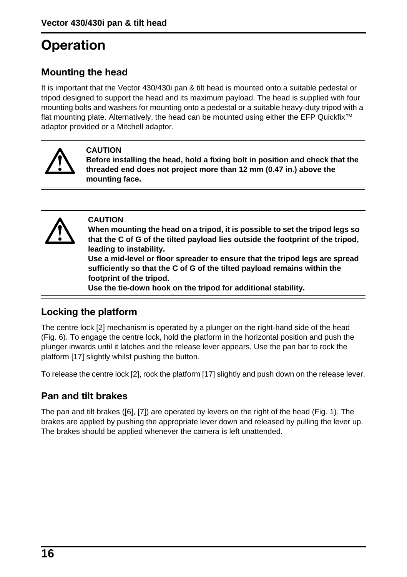# <span id="page-16-2"></span>**Operation**

# <span id="page-16-0"></span>**Mounting the head**

It is important that the Vector 430/430i pan & tilt head is mounted onto a suitable pedestal or tripod designed to support the head and its maximum payload. The head is supplied with four mounting bolts and washers for mounting onto a pedestal or a suitable heavy-duty tripod with a flat mounting plate. Alternatively, the head can be mounted using either the EFP Quickfix™ adaptor provided or a Mitchell adaptor.



#### **CAUTION**

**Before installing the head, hold a fixing bolt in position and check that the threaded end does not project more than 12 mm (0.47 in.) above the mounting face.**



#### **CAUTION**

**When mounting the head on a tripod, it is possible to set the tripod legs so that the C of G of the tilted payload lies outside the footprint of the tripod, leading to instability.**

**Use a mid-level or floor spreader to ensure that the tripod legs are spread sufficiently so that the C of G of the tilted payload remains within the footprint of the tripod.**

**Use the tie-down hook on the tripod for additional stability.**

# <span id="page-16-1"></span>**Locking the platform**

The centre lock [2] mechanism is operated by a plunger on the right-hand side of the head (Fig. 6). To engage the centre lock, hold the platform in the horizontal position and push the plunger inwards until it latches and the release lever appears. Use the pan bar to rock the platform [17] slightly whilst pushing the button.

To release the centre lock [2], rock the platform [17] slightly and push down on the release lever.

# **Pan and tilt brakes**

The pan and tilt brakes ([6], [7]) are operated by levers on the right of the head (Fig. 1). The brakes are applied by pushing the appropriate lever down and released by pulling the lever up. The brakes should be applied whenever the camera is left unattended.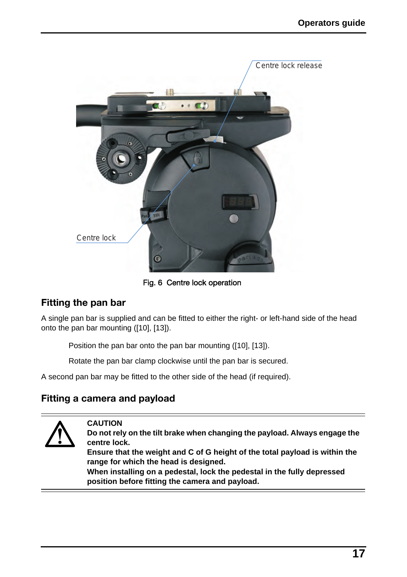

Fig. 6 Centre lock operation

# <span id="page-17-0"></span>**Fitting the pan bar**

A single pan bar is supplied and can be fitted to either the right- or left-hand side of the head onto the pan bar mounting ([10], [13]).

Position the pan bar onto the pan bar mounting ([10], [13]).

Rotate the pan bar clamp clockwise until the pan bar is secured.

A second pan bar may be fitted to the other side of the head (if required).

# <span id="page-17-1"></span>**Fitting a camera and payload**

**CAUTION**



**Do not rely on the tilt brake when changing the payload. Always engage the centre lock.** 

**Ensure that the weight and C of G height of the total payload is within the range for which the head is designed.** 

**When installing on a pedestal, lock the pedestal in the fully depressed position before fitting the camera and payload.**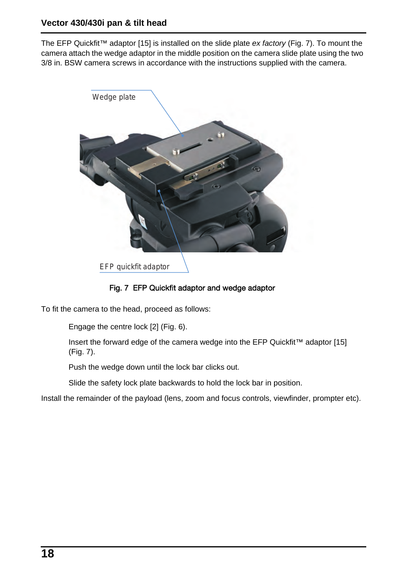The EFP Quickfit™ adaptor [15] is installed on the slide plate *ex factory* (Fig. 7). To mount the camera attach the wedge adaptor in the middle position on the camera slide plate using the two 3/8 in. BSW camera screws in accordance with the instructions supplied with the camera.



EFP quickfit adaptor

### Fig. 7 EFP Quickfit adaptor and wedge adaptor

To fit the camera to the head, proceed as follows:

Engage the centre lock [2] (Fig. 6).

Insert the forward edge of the camera wedge into the EFP Quickfit™ adaptor [15] (Fig. 7).

Push the wedge down until the lock bar clicks out.

Slide the safety lock plate backwards to hold the lock bar in position.

Install the remainder of the payload (lens, zoom and focus controls, viewfinder, prompter etc).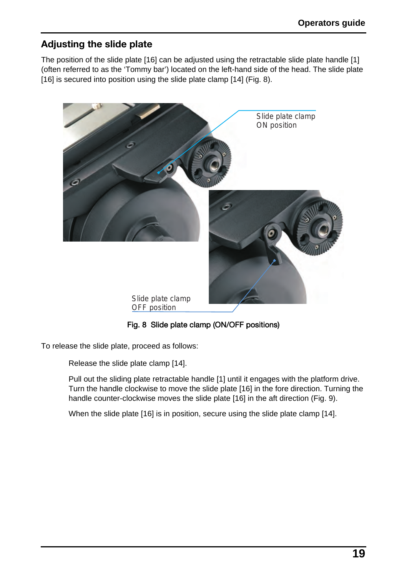# <span id="page-19-0"></span>**Adjusting the slide plate**

The position of the slide plate [16] can be adjusted using the retractable slide plate handle [1] (often referred to as the 'Tommy bar') located on the left-hand side of the head. The slide plate [16] is secured into position using the slide plate clamp [14] (Fig. 8).



Fig. 8 Slide plate clamp (ON/OFF positions)

To release the slide plate, proceed as follows:

Release the slide plate clamp [14].

Pull out the sliding plate retractable handle [1] until it engages with the platform drive. Turn the handle clockwise to move the slide plate [16] in the fore direction. Turning the handle counter-clockwise moves the slide plate [16] in the aft direction (Fig. 9).

When the slide plate [16] is in position, secure using the slide plate clamp [14].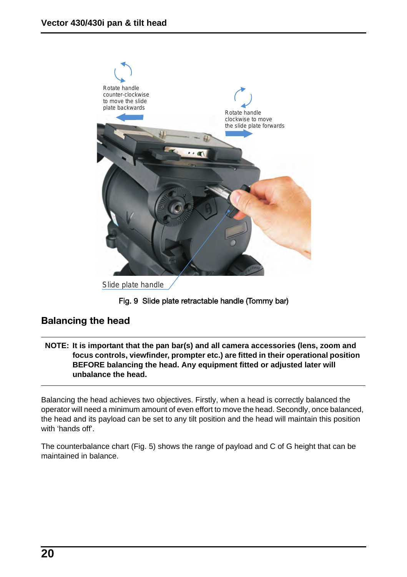

Slide plate handle

#### Fig. 9 Slide plate retractable handle (Tommy bar)

## <span id="page-20-0"></span>**Balancing the head**

**NOTE: It is important that the pan bar(s) and all camera accessories (lens, zoom and focus controls, viewfinder, prompter etc.) are fitted in their operational position BEFORE balancing the head. Any equipment fitted or adjusted later will unbalance the head.** 

Balancing the head achieves two objectives. Firstly, when a head is correctly balanced the operator will need a minimum amount of even effort to move the head. Secondly, once balanced, the head and its payload can be set to any tilt position and the head will maintain this position with 'hands off'.

The counterbalance chart (Fig. 5) shows the range of payload and C of G height that can be maintained in balance.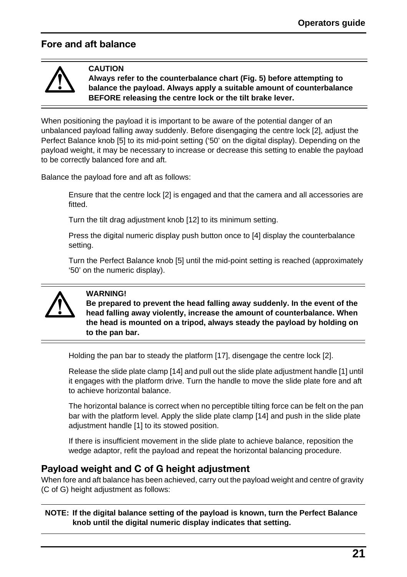# <span id="page-21-1"></span>**Fore and aft balance**



**CAUTION**

**Always refer to the counterbalance chart (Fig. 5) before attempting to balance the payload. Always apply a suitable amount of counterbalance BEFORE releasing the centre lock or the tilt brake lever.**

When positioning the payload it is important to be aware of the potential danger of an unbalanced payload falling away suddenly. Before disengaging the centre lock [2], adjust the Perfect Balance knob [5] to its mid-point setting ('50' on the digital display). Depending on the payload weight, it may be necessary to increase or decrease this setting to enable the payload to be correctly balanced fore and aft.

Balance the payload fore and aft as follows:

Ensure that the centre lock [2] is engaged and that the camera and all accessories are fitted.

Turn the tilt drag adjustment knob [12] to its minimum setting.

Press the digital numeric display push button once to [4] display the counterbalance setting.

Turn the Perfect Balance knob [5] until the mid-point setting is reached (approximately '50' on the numeric display).



#### **WARNING!**

**Be prepared to prevent the head falling away suddenly. In the event of the head falling away violently, increase the amount of counterbalance. When the head is mounted on a tripod, always steady the payload by holding on to the pan bar.**

Holding the pan bar to steady the platform [17], disengage the centre lock [2].

Release the slide plate clamp [14] and pull out the slide plate adjustment handle [1] until it engages with the platform drive. Turn the handle to move the slide plate fore and aft to achieve horizontal balance.

The horizontal balance is correct when no perceptible tilting force can be felt on the pan bar with the platform level. Apply the slide plate clamp [14] and push in the slide plate adjustment handle [1] to its stowed position.

If there is insufficient movement in the slide plate to achieve balance, reposition the wedge adaptor, refit the payload and repeat the horizontal balancing procedure.

## <span id="page-21-0"></span>**Payload weight and C of G height adjustment**

When fore and aft balance has been achieved, carry out the payload weight and centre of gravity (C of G) height adjustment as follows:

**NOTE: If the digital balance setting of the payload is known, turn the Perfect Balance knob until the digital numeric display indicates that setting.**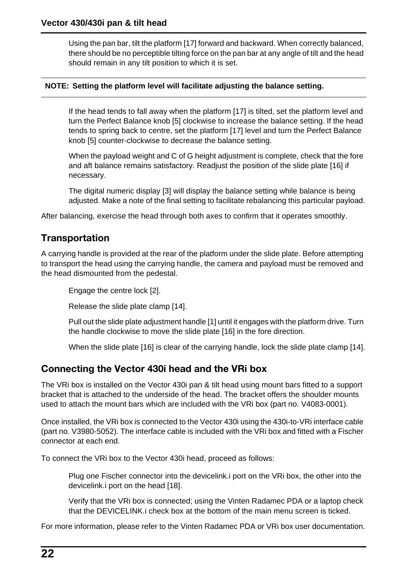Using the pan bar, tilt the platform [17] forward and backward. When correctly balanced, there should be no perceptible tilting force on the pan bar at any angle of tilt and the head should remain in any tilt position to which it is set.

#### **NOTE: Setting the platform level will facilitate adjusting the balance setting.**

If the head tends to fall away when the platform [17] is tilted, set the platform level and turn the Perfect Balance knob [5] clockwise to increase the balance setting. If the head tends to spring back to centre, set the platform [17] level and turn the Perfect Balance knob [5] counter-clockwise to decrease the balance setting.

When the payload weight and C of G height adjustment is complete, check that the fore and aft balance remains satisfactory. Readjust the position of the slide plate [16] if necessary.

The digital numeric display [3] will display the balance setting while balance is being adjusted. Make a note of the final setting to facilitate rebalancing this particular payload.

After balancing, exercise the head through both axes to confirm that it operates smoothly.

## <span id="page-22-0"></span>**Transportation**

A carrying handle is provided at the rear of the platform under the slide plate. Before attempting to transport the head using the carrying handle, the camera and payload must be removed and the head dismounted from the pedestal.

Engage the centre lock [2].

Release the slide plate clamp [14].

Pull out the slide plate adjustment handle [1] until it engages with the platform drive. Turn the handle clockwise to move the slide plate [16] in the fore direction.

When the slide plate [16] is clear of the carrying handle, lock the slide plate clamp [14].

## <span id="page-22-1"></span>**Connecting the Vector 430i head and the VRi box**

The VRi box is installed on the Vector 430i pan & tilt head using mount bars fitted to a support bracket that is attached to the underside of the head. The bracket offers the shoulder mounts used to attach the mount bars which are included with the VRi box (part no. V4083-0001).

Once installed, the VRi box is connected to the Vector 430i using the 430i-to-VRi interface cable (part no. V3980-5052). The interface cable is included with the VRi box and fitted with a Fischer connector at each end.

To connect the VRi box to the Vector 430i head, proceed as follows:

Plug one Fischer connector into the devicelink.i port on the VRi box, the other into the devicelink.i port on the head [18].

Verify that the VRi box is connected; using the Vinten Radamec PDA or a laptop check that the DEVICELINK.i check box at the bottom of the main menu screen is ticked.

For more information, please refer to the Vinten Radamec PDA or VRi box user documentation.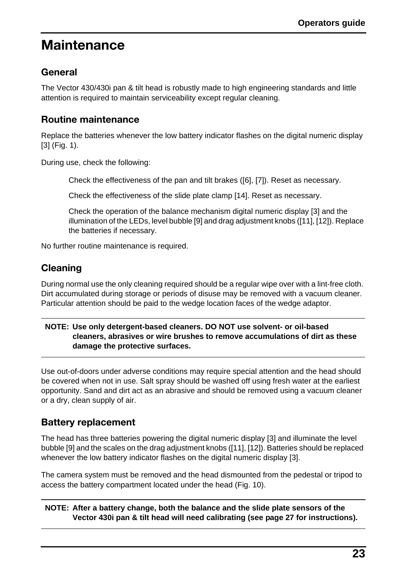# <span id="page-23-4"></span>**Maintenance**

# <span id="page-23-0"></span>**General**

The Vector 430/430i pan & tilt head is robustly made to high engineering standards and little attention is required to maintain serviceability except regular cleaning.

# <span id="page-23-1"></span>**Routine maintenance**

Replace the batteries whenever the low battery indicator flashes on the digital numeric display [3] (Fig. 1).

During use, check the following:

Check the effectiveness of the pan and tilt brakes ([6], [7]). Reset as necessary.

Check the effectiveness of the slide plate clamp [14]. Reset as necessary.

Check the operation of the balance mechanism digital numeric display [3] and the illumination of the LEDs, level bubble [9] and drag adjustment knobs ([11], [12]). Replace the batteries if necessary.

No further routine maintenance is required.

# <span id="page-23-2"></span>**Cleaning**

During normal use the only cleaning required should be a regular wipe over with a lint-free cloth. Dirt accumulated during storage or periods of disuse may be removed with a vacuum cleaner. Particular attention should be paid to the wedge location faces of the wedge adaptor.

#### **NOTE: Use only detergent-based cleaners. DO NOT use solvent- or oil-based cleaners, abrasives or wire brushes to remove accumulations of dirt as these damage the protective surfaces.**

Use out-of-doors under adverse conditions may require special attention and the head should be covered when not in use. Salt spray should be washed off using fresh water at the earliest opportunity. Sand and dirt act as an abrasive and should be removed using a vacuum cleaner or a dry, clean supply of air.

# <span id="page-23-3"></span>**Battery replacement**

The head has three batteries powering the digital numeric display [3] and illuminate the level bubble [9] and the scales on the drag adjustment knobs ([11], [12]). Batteries should be replaced whenever the low battery indicator flashes on the digital numeric display [3].

The camera system must be removed and the head dismounted from the pedestal or tripod to access the battery compartment located under the head (Fig. 10).

**NOTE: After a battery change, both the balance and the slide plate sensors of the Vector 430i pan & tilt head will need calibrating (see [page 27](#page-27-0) for instructions).**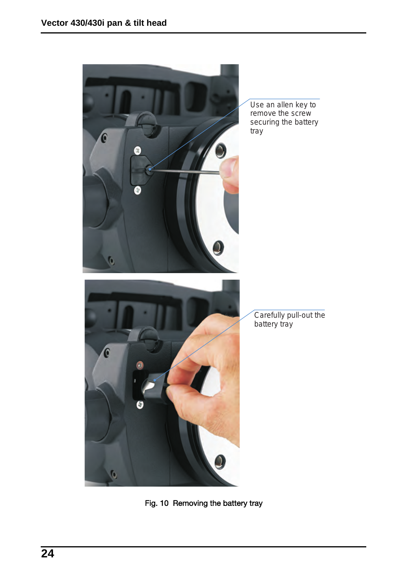

Fig. 10 Removing the battery tray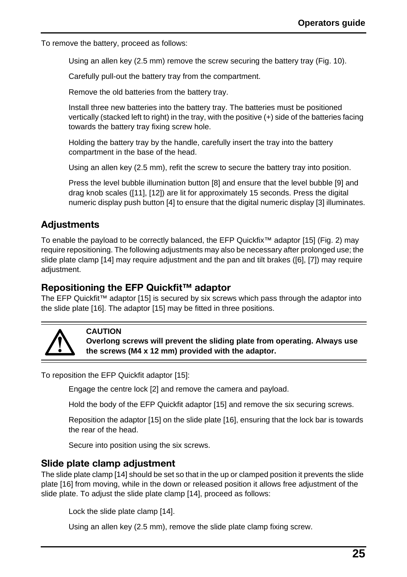To remove the battery, proceed as follows:

Using an allen key (2.5 mm) remove the screw securing the battery tray (Fig. 10).

Carefully pull-out the battery tray from the compartment.

Remove the old batteries from the battery tray.

Install three new batteries into the battery tray. The batteries must be positioned vertically (stacked left to right) in the tray, with the positive (+) side of the batteries facing towards the battery tray fixing screw hole.

Holding the battery tray by the handle, carefully insert the tray into the battery compartment in the base of the head.

Using an allen key (2.5 mm), refit the screw to secure the battery tray into position.

Press the level bubble illumination button [8] and ensure that the level bubble [9] and drag knob scales ([11], [12]) are lit for approximately 15 seconds. Press the digital numeric display push button [4] to ensure that the digital numeric display [3] illuminates.

# <span id="page-25-2"></span>**Adjustments**

To enable the payload to be correctly balanced, the EFP Quickfix™ adaptor [15] (Fig. 2) may require repositioning. The following adjustments may also be necessary after prolonged use; the slide plate clamp [14] may require adjustment and the pan and tilt brakes ([6], [7]) may require adjustment.

## <span id="page-25-0"></span>**Repositioning the EFP Quickfit™ adaptor**

The EFP Quickfit™ adaptor [15] is secured by six screws which pass through the adaptor into the slide plate [16]. The adaptor [15] may be fitted in three positions.



#### **CAUTION**

**Overlong screws will prevent the sliding plate from operating. Always use the screws (M4 x 12 mm) provided with the adaptor.**

To reposition the EFP Quickfit adaptor [15]:

Engage the centre lock [2] and remove the camera and payload.

Hold the body of the EFP Quickfit adaptor [15] and remove the six securing screws.

Reposition the adaptor [15] on the slide plate [16], ensuring that the lock bar is towards the rear of the head.

Secure into position using the six screws.

## <span id="page-25-1"></span>**Slide plate clamp adjustment**

The slide plate clamp [14] should be set so that in the up or clamped position it prevents the slide plate [16] from moving, while in the down or released position it allows free adjustment of the slide plate. To adjust the slide plate clamp [14], proceed as follows:

Lock the slide plate clamp [14].

Using an allen key (2.5 mm), remove the slide plate clamp fixing screw.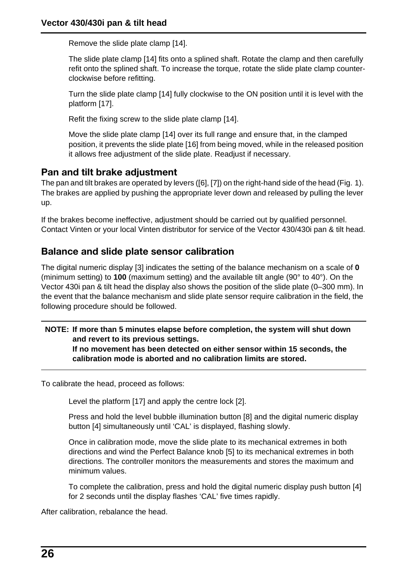Remove the slide plate clamp [14].

The slide plate clamp [14] fits onto a splined shaft. Rotate the clamp and then carefully refit onto the splined shaft. To increase the torque, rotate the slide plate clamp counterclockwise before refitting.

Turn the slide plate clamp [14] fully clockwise to the ON position until it is level with the platform [17].

Refit the fixing screw to the slide plate clamp [14].

Move the slide plate clamp [14] over its full range and ensure that, in the clamped position, it prevents the slide plate [16] from being moved, while in the released position it allows free adjustment of the slide plate. Readjust if necessary.

## <span id="page-26-0"></span>**Pan and tilt brake adjustment**

The pan and tilt brakes are operated by levers ([6], [7]) on the right-hand side of the head (Fig. 1). The brakes are applied by pushing the appropriate lever down and released by pulling the lever up.

If the brakes become ineffective, adjustment should be carried out by qualified personnel. Contact Vinten or your local Vinten distributor for service of the Vector 430/430i pan & tilt head.

### <span id="page-26-1"></span>**Balance and slide plate sensor calibration**

The digital numeric display [3] indicates the setting of the balance mechanism on a scale of **0** (minimum setting) to **100** (maximum setting) and the available tilt angle (90° to 40°). On the Vector 430i pan & tilt head the display also shows the position of the slide plate (0–300 mm). In the event that the balance mechanism and slide plate sensor require calibration in the field, the following procedure should be followed.

#### **NOTE: If more than 5 minutes elapse before completion, the system will shut down and revert to its previous settings. If no movement has been detected on either sensor within 15 seconds, the**

**calibration mode is aborted and no calibration limits are stored.**

To calibrate the head, proceed as follows:

Level the platform [17] and apply the centre lock [2].

Press and hold the level bubble illumination button [8] and the digital numeric display button [4] simultaneously until 'CAL' is displayed, flashing slowly.

Once in calibration mode, move the slide plate to its mechanical extremes in both directions and wind the Perfect Balance knob [5] to its mechanical extremes in both directions. The controller monitors the measurements and stores the maximum and minimum values.

To complete the calibration, press and hold the digital numeric display push button [4] for 2 seconds until the display flashes 'CAL' five times rapidly.

After calibration, rebalance the head.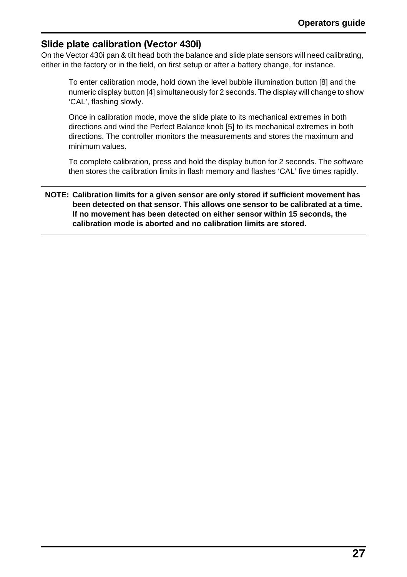# <span id="page-27-0"></span>**Slide plate calibration (Vector 430i)**

On the Vector 430i pan & tilt head both the balance and slide plate sensors will need calibrating, either in the factory or in the field, on first setup or after a battery change, for instance.

To enter calibration mode, hold down the level bubble illumination button [8] and the numeric display button [4] simultaneously for 2 seconds. The display will change to show 'CAL', flashing slowly.

Once in calibration mode, move the slide plate to its mechanical extremes in both directions and wind the Perfect Balance knob [5] to its mechanical extremes in both directions. The controller monitors the measurements and stores the maximum and minimum values.

To complete calibration, press and hold the display button for 2 seconds. The software then stores the calibration limits in flash memory and flashes 'CAL' five times rapidly.

#### **NOTE: Calibration limits for a given sensor are only stored if sufficient movement has been detected on that sensor. This allows one sensor to be calibrated at a time. If no movement has been detected on either sensor within 15 seconds, the calibration mode is aborted and no calibration limits are stored.**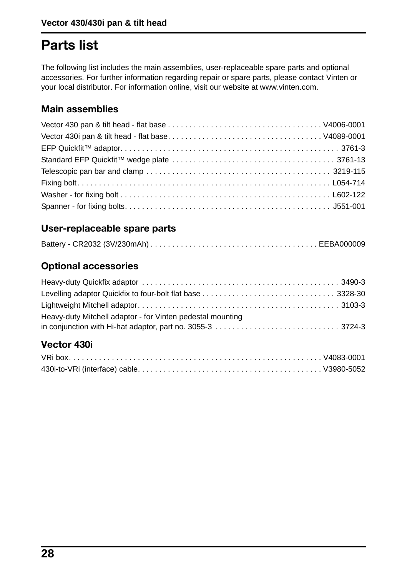# <span id="page-28-0"></span>**Parts list**

The following list includes the main assemblies, user-replaceable spare parts and optional [accessories. For further information regarding repair or spare parts, please contact Vinten or](http://www.vinten.com)  your local distributor. For information online, visit our website at www.vinten.com.

# <span id="page-28-1"></span>**Main assemblies**

# <span id="page-28-2"></span>**User-replaceable spare parts**

# <span id="page-28-3"></span>**Optional accessories**

| Heavy-duty Mitchell adaptor - for Vinten pedestal mounting |  |
|------------------------------------------------------------|--|
|                                                            |  |

# <span id="page-28-4"></span>**Vector 430i**